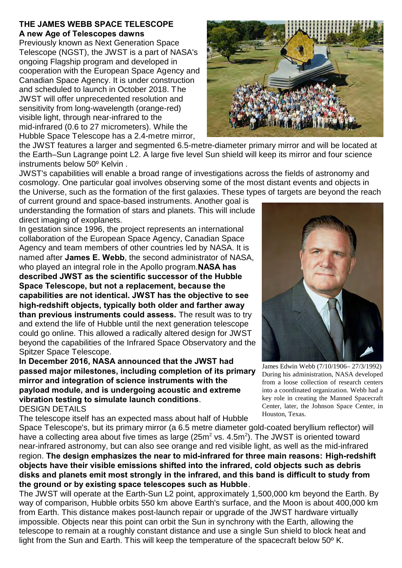## **THE JAMES WEBB SPACE TELESCOPE A new Age of Telescopes dawns**

Previously known as Next Generation Space Telescope (NGST), the JWST is a part of NASA's ongoing Flagship program and developed in cooperation with the European Space Agency and Canadian Space Agency. It is under construction and scheduled to launch in October 2018. The JWST will offer unprecedented resolution and sensitivity from long-wavelength (orange-red) visible light, through near-infrared to the mid-infrared (0.6 to 27 micrometers). While the Hubble Space Telescope has a 2.4-metre mirror,



JWST's capabilities will enable a broad range of investigations across the fields of astronomy and cosmology. One particular goal involves observing some of the most distant events and objects in the Universe, such as the formation of the first galaxies. These types of targets are beyond the reach

of current ground and space-based instruments. Another goal is understanding the formation of stars and planets. This will include direct imaging of exoplanets.

In gestation since 1996, the project represents an international collaboration of the European Space Agency, Canadian Space Agency and team members of other countries led by NASA. It is named after **James E. Webb**, the second administrator of NASA, who played an integral role in the Apollo program.**NASA has described JWST as the scientific successor of the Hubble Space Telescope, but not a replacement, because the capabilities are not identical. JWST has the objective to see high-redshift objects, typically both older and farther away than previous instruments could assess.** The result was to try and extend the life of Hubble until the next generation telescope could go online. This allowed a radically altered design for JWST beyond the capabilities of the Infrared Space Observatory and the Spitzer Space Telescope.

**In December 2016, NASA announced that the JWST had passed major milestones, including completion of its primary mirror and integration of science instruments with the payload module, and is undergoing acoustic and extreme vibration testing to simulate launch conditions**. DESIGN DETAILS

The telescope itself has an expected mass about half of Hubble

Space Telescope's, but its primary mirror (a 6.5 metre diameter gold-coated beryllium reflector) will have a collecting area about five times as large (25m<sup>2</sup> vs. 4.5m<sup>2</sup>). The JWST is oriented toward near-infrared astronomy, but can also see orange and red visible light, as well as the mid-infrared region. **The design emphasizes the near to mid-infrared for three main reasons: High-redshift objects have their visible emissions shifted into the infrared, cold objects such as debris disks and planets emit most strongly in the infrared, and this band is difficult to study from the ground or by existing space telescopes such as Hubble**.

The JWST will operate at the Earth-Sun L2 point, approximately 1,500,000 km beyond the Earth. By way of comparison, Hubble orbits 550 km above Earth's surface, and the Moon is about 400,000 km from Earth. This distance makes post-launch repair or upgrade of the JWST hardware virtually impossible. Objects near this point can orbit the Sun in synchrony with the Earth, allowing the telescope to remain at a roughly constant distance and use a single Sun shield to block heat and light from the Sun and Earth. This will keep the temperature of the spacecraft below 50º K.





James Edwin Webb (7/10/1906– 27/3/1992) During his administration, NASA developed from a loose collection of research centers into a coordinated organization. Webb had a key role in creating the Manned Spacecraft Center, later, the Johnson Space Center, in Houston, Texas.